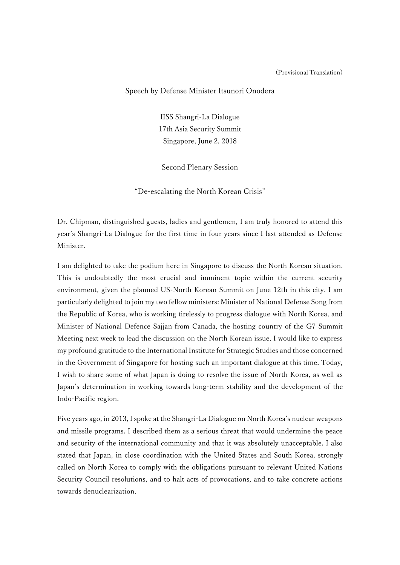## (Provisional Translation)

## Speech by Defense Minister Itsunori Onodera

IISS Shangri-La Dialogue 17th Asia Security Summit Singapore, June 2, 2018

Second Plenary Session

"De-escalating the North Korean Crisis"

Dr. Chipman, distinguished guests, ladies and gentlemen, I am truly honored to attend this year's Shangri-La Dialogue for the first time in four years since I last attended as Defense Minister.

I am delighted to take the podium here in Singapore to discuss the North Korean situation. This is undoubtedly the most crucial and imminent topic within the current security environment, given the planned US-North Korean Summit on June 12th in this city. I am particularly delighted to join my two fellow ministers: Minister of National Defense Song from the Republic of Korea, who is working tirelessly to progress dialogue with North Korea, and Minister of National Defence Sajjan from Canada, the hosting country of the G7 Summit Meeting next week to lead the discussion on the North Korean issue. I would like to express my profound gratitude to the International Institute for Strategic Studies and those concerned in the Government of Singapore for hosting such an important dialogue at this time. Today, I wish to share some of what Japan is doing to resolve the issue of North Korea, as well as Japan's determination in working towards long-term stability and the development of the Indo-Pacific region.

Five years ago, in 2013, I spoke at the Shangri-La Dialogue on North Korea's nuclear weapons and missile programs. I described them as a serious threat that would undermine the peace and security of the international community and that it was absolutely unacceptable. I also stated that Japan, in close coordination with the United States and South Korea, strongly called on North Korea to comply with the obligations pursuant to relevant United Nations Security Council resolutions, and to halt acts of provocations, and to take concrete actions towards denuclearization.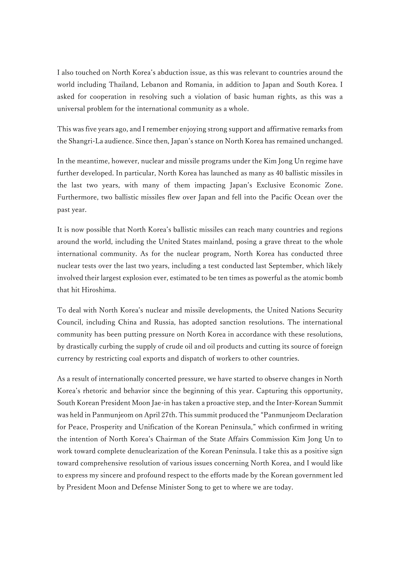I also touched on North Korea's abduction issue, as this was relevant to countries around the world including Thailand, Lebanon and Romania, in addition to Japan and South Korea. I asked for cooperation in resolving such a violation of basic human rights, as this was a universal problem for the international community as a whole.

This was five years ago, and I remember enjoying strong support and affirmative remarks from the Shangri-La audience. Since then, Japan's stance on North Korea has remained unchanged.

In the meantime, however, nuclear and missile programs under the Kim Jong Un regime have further developed. In particular, North Korea has launched as many as 40 ballistic missiles in the last two years, with many of them impacting Japan's Exclusive Economic Zone. Furthermore, two ballistic missiles flew over Japan and fell into the Pacific Ocean over the past year.

It is now possible that North Korea's ballistic missiles can reach many countries and regions around the world, including the United States mainland, posing a grave threat to the whole international community. As for the nuclear program, North Korea has conducted three nuclear tests over the last two years, including a test conducted last September, which likely involved their largest explosion ever, estimated to be ten times as powerful as the atomic bomb that hit Hiroshima.

To deal with North Korea's nuclear and missile developments, the United Nations Security Council, including China and Russia, has adopted sanction resolutions. The international community has been putting pressure on North Korea in accordance with these resolutions, by drastically curbing the supply of crude oil and oil products and cutting its source of foreign currency by restricting coal exports and dispatch of workers to other countries.

As a result of internationally concerted pressure, we have started to observe changes in North Korea's rhetoric and behavior since the beginning of this year. Capturing this opportunity, South Korean President Moon Jae-in has taken a proactive step, and the Inter-Korean Summit was held in Panmunjeom on April 27th. This summit produced the "Panmunjeom Declaration for Peace, Prosperity and Unification of the Korean Peninsula," which confirmed in writing the intention of North Korea's Chairman of the State Affairs Commission Kim Jong Un to work toward complete denuclearization of the Korean Peninsula. I take this as a positive sign toward comprehensive resolution of various issues concerning North Korea, and I would like to express my sincere and profound respect to the efforts made by the Korean government led by President Moon and Defense Minister Song to get to where we are today.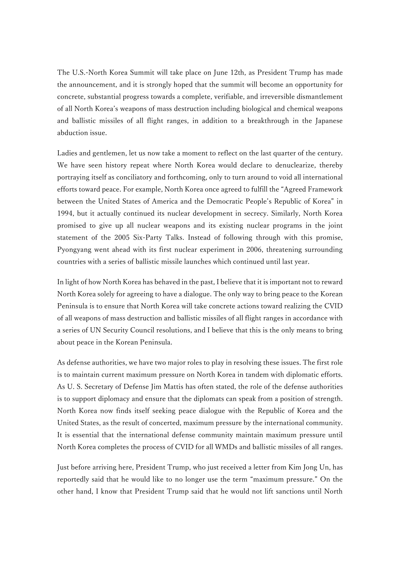The U.S.-North Korea Summit will take place on June 12th, as President Trump has made the announcement, and it is strongly hoped that the summit will become an opportunity for concrete, substantial progress towards a complete, verifiable, and irreversible dismantlement of all North Korea's weapons of mass destruction including biological and chemical weapons and ballistic missiles of all flight ranges, in addition to a breakthrough in the Japanese abduction issue.

Ladies and gentlemen, let us now take a moment to reflect on the last quarter of the century. We have seen history repeat where North Korea would declare to denuclearize, thereby portraying itself as conciliatory and forthcoming, only to turn around to void all international efforts toward peace. For example, North Korea once agreed to fulfill the "Agreed Framework between the United States of America and the Democratic People's Republic of Korea" in 1994, but it actually continued its nuclear development in secrecy. Similarly, North Korea promised to give up all nuclear weapons and its existing nuclear programs in the joint statement of the 2005 Six-Party Talks. Instead of following through with this promise, Pyongyang went ahead with its first nuclear experiment in 2006, threatening surrounding countries with a series of ballistic missile launches which continued until last year.

In light of how North Korea has behaved in the past, I believe that it is important not to reward North Korea solely for agreeing to have a dialogue. The only way to bring peace to the Korean Peninsula is to ensure that North Korea will take concrete actions toward realizing the CVID of all weapons of mass destruction and ballistic missiles of all flight ranges in accordance with a series of UN Security Council resolutions, and I believe that this is the only means to bring about peace in the Korean Peninsula.

As defense authorities, we have two major roles to play in resolving these issues. The first role is to maintain current maximum pressure on North Korea in tandem with diplomatic efforts. As U. S. Secretary of Defense Jim Mattis has often stated, the role of the defense authorities is to support diplomacy and ensure that the diplomats can speak from a position of strength. North Korea now finds itself seeking peace dialogue with the Republic of Korea and the United States, as the result of concerted, maximum pressure by the international community. It is essential that the international defense community maintain maximum pressure until North Korea completes the process of CVID for all WMDs and ballistic missiles of all ranges.

Just before arriving here, President Trump, who just received a letter from Kim Jong Un, has reportedly said that he would like to no longer use the term "maximum pressure." On the other hand, I know that President Trump said that he would not lift sanctions until North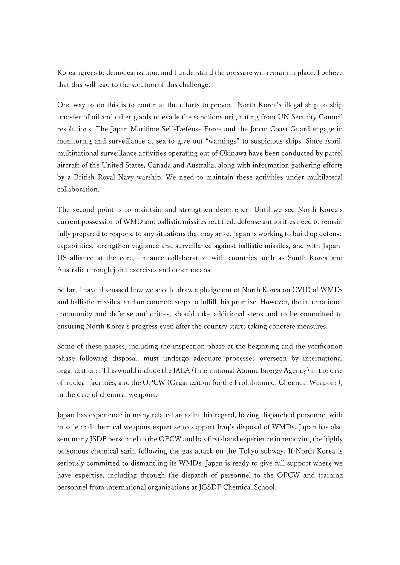Korea agrees to denuclearization, and I understand the pressure will remain in place. I believe that this will lead to the solution of this challenge.

One way to do this is to continue the efforts to prevent North Korea's illegal ship-to-ship transfer of oil and other goods to evade the sanctions originating from UN Security Council resolutions. The Japan Maritime Self-Defense Force and the Japan Coast Guard engage in monitoring and surveillance at sea to give out "warnings" to suspicious ships. Since April, multinational surveillance activities operating out of Okinawa have been conducted by patrol aircraft of the United States, Canada and Australia, along with information gathering efforts by a British Royal Navy warship. We need to maintain these activities under multilateral collaboration.

The second point is to maintain and strengthen deterrence. Until we see North Korea's current possession of WMD and ballistic missiles rectified, defense authorities need to remain fully prepared to respond to any situations that may arise. Japan is working to build up defense capabilities, strengthen vigilance and surveillance against ballistic missiles, and with Japan-US alliance at the core, enhance collaboration with countries such as South Korea and Australia through joint exercises and other means.

So far, I have discussed how we should draw a pledge out of North Korea on CVID of WMDs and ballistic missiles, and on concrete steps to fulfill this promise. However, the international community and defense authorities, should take additional steps and to be committed to ensuring North Korea's progress even after the country starts taking concrete measures.

Some of these phases, including the inspection phase at the beginning and the verification phase following disposal, must undergo adequate processes overseen by international organizations. This would include the IAEA (International Atomic Energy Agency) in the case of nuclear facilities, and the OPCW (Organization for the Prohibition of Chemical Weapons), in the case of chemical weapons.

Japan has experience in many related areas in this regard, having dispatched personnel with missile and chemical weapons expertise to support Iraq's disposal of WMDs. Japan has also sent many JSDF personnel to the OPCW and has first-hand experience in removing the highly poisonous chemical sarin following the gas attack on the Tokyo subway. If North Korea is seriously committed to dismantling its WMDs, Japan is ready to give full support where we have expertise, including through the dispatch of personnel to the OPCW and training personnel from international organizations at JGSDF Chemical School.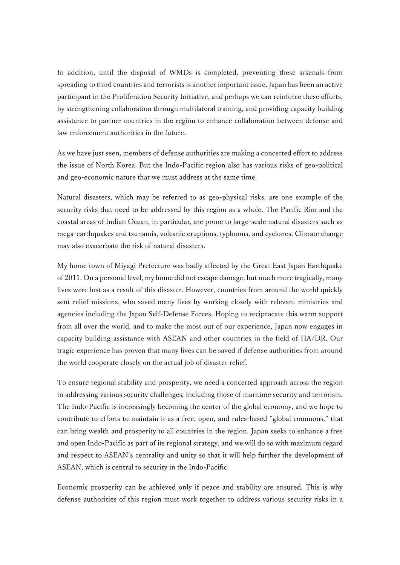In addition, until the disposal of WMDs is completed, preventing these arsenals from spreading to third countries and terrorists is another important issue. Japan has been an active participant in the Proliferation Security Initiative, and perhaps we can reinforce these efforts, by strengthening collaboration through multilateral training, and providing capacity building assistance to partner countries in the region to enhance collaboration between defense and law enforcement authorities in the future.

As we have just seen, members of defense authorities are making a concerted effort to address the issue of North Korea. But the Indo-Pacific region also has various risks of geo-political and geo-economic nature that we must address at the same time.

Natural disasters, which may be referred to as geo-physical risks, are one example of the security risks that need to be addressed by this region as a whole. The Pacific Rim and the coastal areas of Indian Ocean, in particular, are prone to large-scale natural disasters such as mega-earthquakes and tsunamis, volcanic eruptions, typhoons, and cyclones. Climate change may also exacerbate the risk of natural disasters.

My home town of Miyagi Prefecture was badly affected by the Great East Japan Earthquake of 2011. On a personal level, my home did not escape damage, but much more tragically, many lives were lost as a result of this disaster. However, countries from around the world quickly sent relief missions, who saved many lives by working closely with relevant ministries and agencies including the Japan Self-Defense Forces. Hoping to reciprocate this warm support from all over the world, and to make the most out of our experience, Japan now engages in capacity building assistance with ASEAN and other countries in the field of HA/DR. Our tragic experience has proven that many lives can be saved if defense authorities from around the world cooperate closely on the actual job of disaster relief.

To ensure regional stability and prosperity, we need a concerted approach across the region in addressing various security challenges, including those of maritime security and terrorism. The Indo-Pacific is increasingly becoming the center of the global economy, and we hope to contribute to efforts to maintain it as a free, open, and rules-based "global commons," that can bring wealth and prosperity to all countries in the region. Japan seeks to enhance a free and open Indo-Pacific as part of its regional strategy, and we will do so with maximum regard and respect to ASEAN's centrality and unity so that it will help further the development of ASEAN, which is central to security in the Indo-Pacific.

Economic prosperity can be achieved only if peace and stability are ensured. This is why defense authorities of this region must work together to address various security risks in a